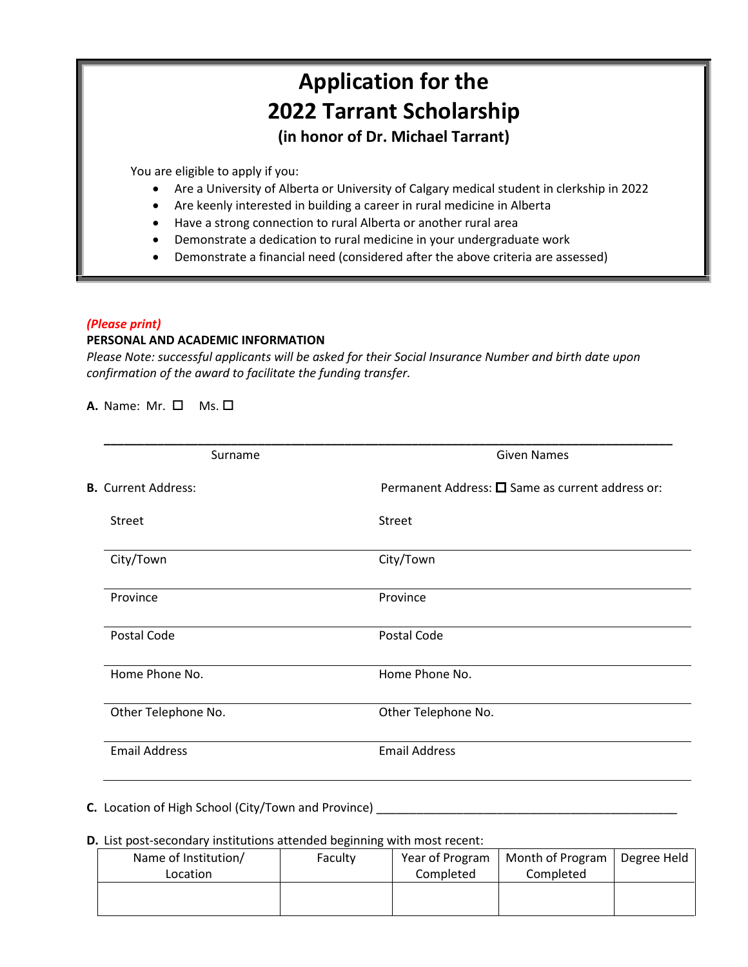# **Application for the 2022 Tarrant Scholarship (in honor of Dr. Michael Tarrant)**

You are eligible to apply if you:

- Are a University of Alberta or University of Calgary medical student in clerkship in 2022
- Are keenly interested in building a career in rural medicine in Alberta
- Have a strong connection to rural Alberta or another rural area
- Demonstrate a dedication to rural medicine in your undergraduate work
- Demonstrate a financial need (considered after the above criteria are assessed)

## *(Please print)*

# **PERSONAL AND ACADEMIC INFORMATION**

*Please Note: successful applicants will be asked for their Social Insurance Number and birth date upon confirmation of the award to facilitate the funding transfer.*

 $A.$  Name: Mr.  $\Box$  Ms.  $\Box$ 

| Surname                    | <b>Given Names</b>                                       |  |
|----------------------------|----------------------------------------------------------|--|
| <b>B.</b> Current Address: | Permanent Address: $\square$ Same as current address or: |  |
| <b>Street</b>              | Street                                                   |  |
| City/Town                  | City/Town                                                |  |
| Province                   | Province                                                 |  |
| Postal Code                | Postal Code                                              |  |
| Home Phone No.             | Home Phone No.                                           |  |
| Other Telephone No.        | Other Telephone No.                                      |  |
| <b>Email Address</b>       | <b>Email Address</b>                                     |  |

**C.** Location of High School (City/Town and Province)

## **D.** List post-secondary institutions attended beginning with most recent:

| Name of Institution/<br>Location | Faculty | Year of Program<br>Completed | Month of Program<br>Completed | Degree Held |
|----------------------------------|---------|------------------------------|-------------------------------|-------------|
|                                  |         |                              |                               |             |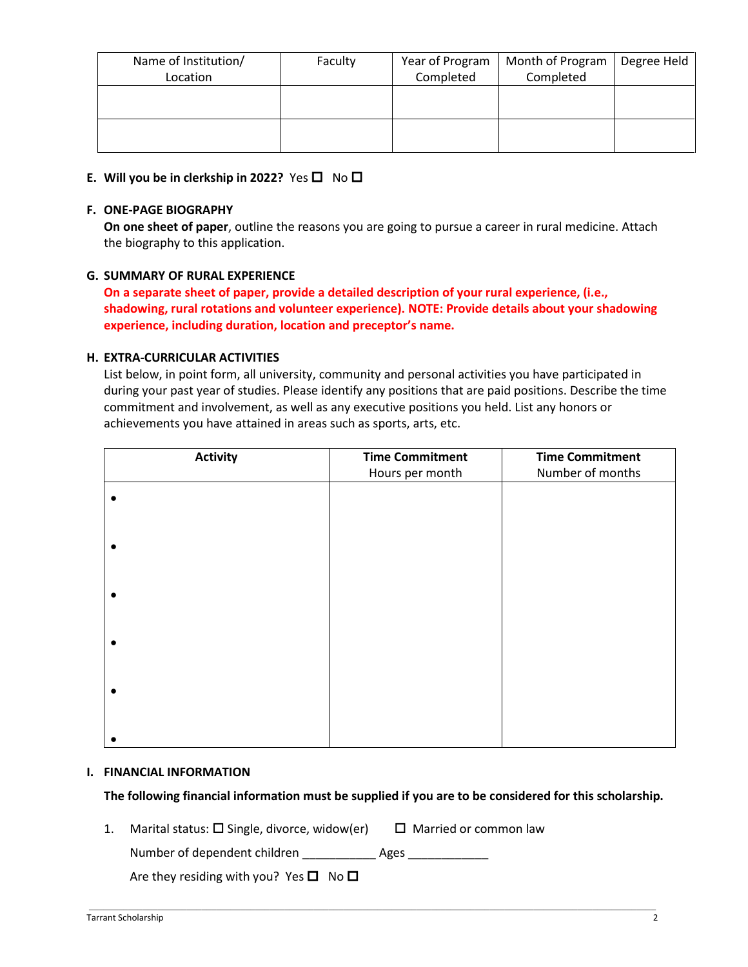| Name of Institution/ | Faculty | Year of Program | Month of Program | Degree Held |
|----------------------|---------|-----------------|------------------|-------------|
| Location             |         | Completed       | Completed        |             |
|                      |         |                 |                  |             |
|                      |         |                 |                  |             |
|                      |         |                 |                  |             |
|                      |         |                 |                  |             |
|                      |         |                 |                  |             |
|                      |         |                 |                  |             |

# **E.** Will you be in clerkship in 2022? Yes  $\Box$  No  $\Box$

### **F. ONE-PAGE BIOGRAPHY**

**On one sheet of paper**, outline the reasons you are going to pursue a career in rural medicine. Attach the biography to this application.

## **G. SUMMARY OF RURAL EXPERIENCE**

**On a separate sheet of paper, provide a detailed description of your rural experience, (i.e., shadowing, rural rotations and volunteer experience). NOTE: Provide details about your shadowing experience, including duration, location and preceptor's name.**

### **H. EXTRA-CURRICULAR ACTIVITIES**

List below, in point form, all university, community and personal activities you have participated in during your past year of studies. Please identify any positions that are paid positions. Describe the time commitment and involvement, as well as any executive positions you held. List any honors or achievements you have attained in areas such as sports, arts, etc.

| <b>Time Commitment</b><br><b>Activity</b> |                 | <b>Time Commitment</b> |
|-------------------------------------------|-----------------|------------------------|
|                                           | Hours per month | Number of months       |
|                                           |                 |                        |
|                                           |                 |                        |
|                                           |                 |                        |
|                                           |                 |                        |
|                                           |                 |                        |
|                                           |                 |                        |

#### **I. FINANCIAL INFORMATION**

#### **The following financial information must be supplied if you are to be considered for this scholarship.**

\_\_\_\_\_\_\_\_\_\_\_\_\_\_\_\_\_\_\_\_\_\_\_\_\_\_\_\_\_\_\_\_\_\_\_\_\_\_\_\_\_\_\_\_\_\_\_\_\_\_\_\_\_\_\_\_\_\_\_\_\_\_\_\_\_\_\_\_\_\_\_\_\_\_\_\_\_\_\_\_\_\_\_\_\_\_\_\_\_\_\_\_\_\_\_\_\_\_\_\_\_\_\_\_\_\_\_\_\_\_\_\_\_\_\_\_

1. Marital status:  $\square$  Single, divorce, widow(er)  $\square$  Married or common law

Number of dependent children entitled and Ages

Are they residing with you? Yes  $\Box$  No  $\Box$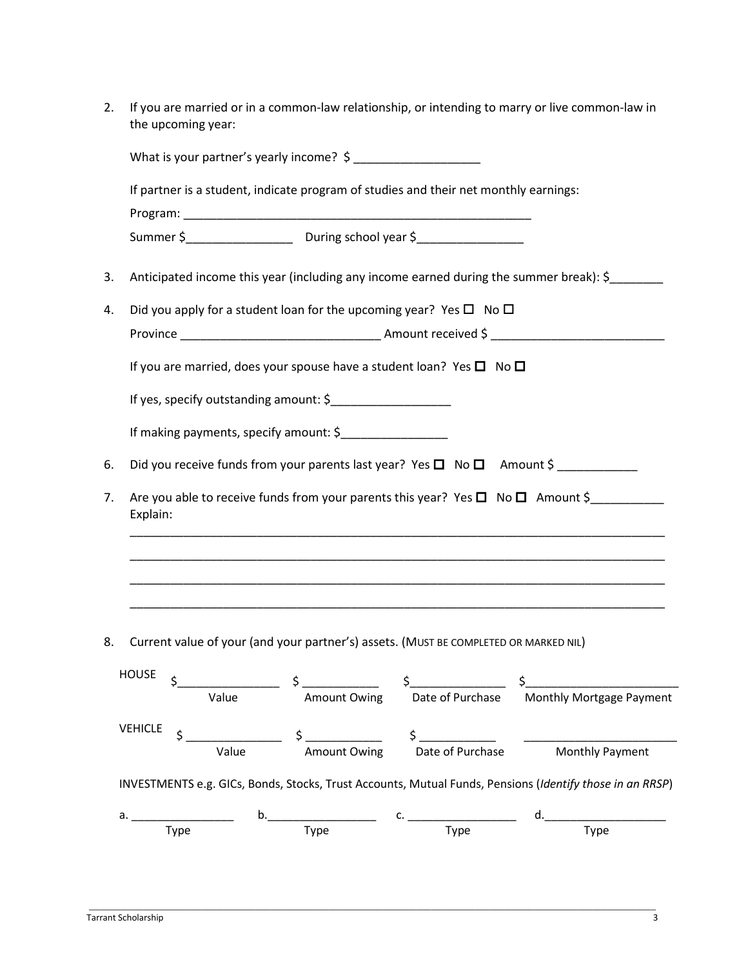| 2. | If you are married or in a common-law relationship, or intending to marry or live common-law in<br>the upcoming year:           |  |  |  |
|----|---------------------------------------------------------------------------------------------------------------------------------|--|--|--|
|    |                                                                                                                                 |  |  |  |
|    | If partner is a student, indicate program of studies and their net monthly earnings:                                            |  |  |  |
|    |                                                                                                                                 |  |  |  |
|    |                                                                                                                                 |  |  |  |
| 3. | Anticipated income this year (including any income earned during the summer break): \$                                          |  |  |  |
| 4. | Did you apply for a student loan for the upcoming year? Yes $\Box$ No $\Box$                                                    |  |  |  |
|    |                                                                                                                                 |  |  |  |
|    | If you are married, does your spouse have a student loan? Yes $\square$ No $\square$                                            |  |  |  |
|    | If yes, specify outstanding amount: \$                                                                                          |  |  |  |
|    | If making payments, specify amount: \$___________________                                                                       |  |  |  |
| 6. | Did you receive funds from your parents last year? Yes $\square$ No $\square$ Amount \$                                         |  |  |  |
| 7. | Are you able to receive funds from your parents this year? Yes $\square$ No $\square$ Amount \$<br>Explain:                     |  |  |  |
|    |                                                                                                                                 |  |  |  |
|    |                                                                                                                                 |  |  |  |
|    |                                                                                                                                 |  |  |  |
| 8. | Current value of your (and your partner's) assets. (MUST BE COMPLETED OR MARKED NIL)                                            |  |  |  |
|    | <b>HOUSE</b>                                                                                                                    |  |  |  |
|    | value $\begin{array}{ccc}\n5 & \text{S} \\ \hline\n\end{array}$ Amount Owing Date of Purchase Monthly Mortgage Payment<br>Value |  |  |  |
|    | <b>VEHICLE</b><br>$\frac{1}{2}$<br>Amount Owing $\frac{2}{2}$<br>Date of Purchase Monthly Payment                               |  |  |  |
|    | Value                                                                                                                           |  |  |  |
|    | INVESTMENTS e.g. GICs, Bonds, Stocks, Trust Accounts, Mutual Funds, Pensions (Identify those in an RRSP)                        |  |  |  |

\_\_\_\_\_\_\_\_\_\_\_\_\_\_\_\_\_\_\_\_\_\_\_\_\_\_\_\_\_\_\_\_\_\_\_\_\_\_\_\_\_\_\_\_\_\_\_\_\_\_\_\_\_\_\_\_\_\_\_\_\_\_\_\_\_\_\_\_\_\_\_\_\_\_\_\_\_\_\_\_\_\_\_\_\_\_\_\_\_\_\_\_\_\_\_\_\_\_\_\_\_\_\_\_\_\_\_\_\_\_\_\_\_\_\_\_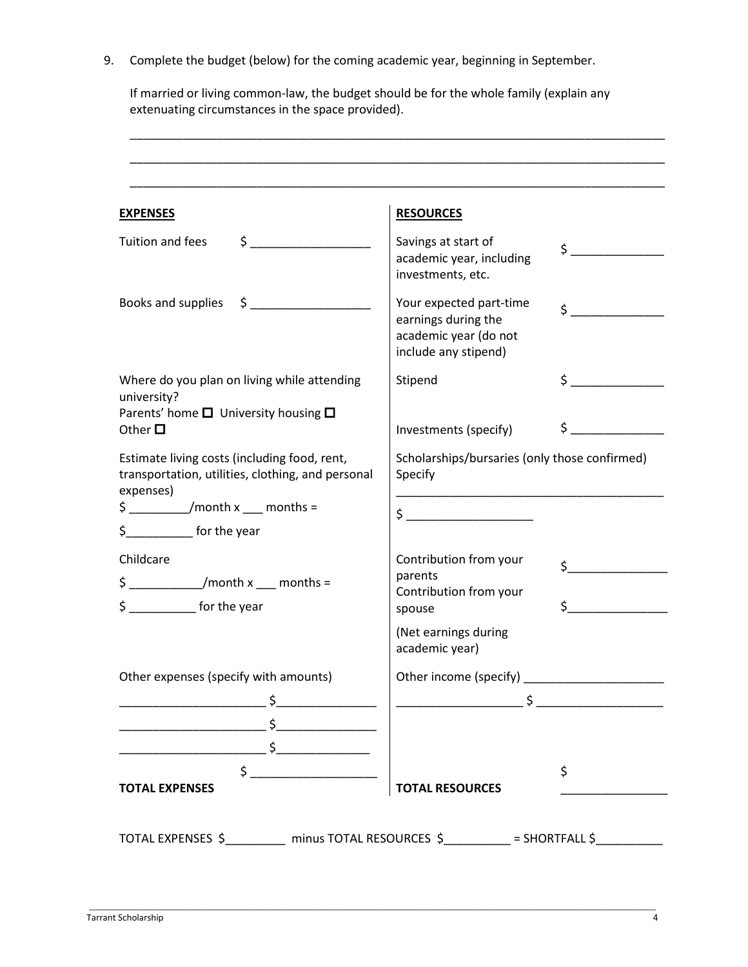9. Complete the budget (below) for the coming academic year, beginning in September.

If married or living common-law, the budget should be for the whole family (explain any extenuating circumstances in the space provided).

\_\_\_\_\_\_\_\_\_\_\_\_\_\_\_\_\_\_\_\_\_\_\_\_\_\_\_\_\_\_\_\_\_\_\_\_\_\_\_\_\_\_\_\_\_\_\_\_\_\_\_\_\_\_\_\_\_\_\_\_\_\_\_\_\_\_\_\_\_\_\_\_\_\_\_\_\_\_\_\_

| <b>EXPENSES</b>                                                                                                                                                                                                                                                                                                                                     | <b>RESOURCES</b>                                                                                |                                                                                                                                                                       |  |  |
|-----------------------------------------------------------------------------------------------------------------------------------------------------------------------------------------------------------------------------------------------------------------------------------------------------------------------------------------------------|-------------------------------------------------------------------------------------------------|-----------------------------------------------------------------------------------------------------------------------------------------------------------------------|--|--|
| $\frac{1}{2}$<br>Tuition and fees                                                                                                                                                                                                                                                                                                                   | Savings at start of<br>academic year, including<br>investments, etc.                            | $\frac{1}{2}$                                                                                                                                                         |  |  |
| $\sharp$ $\Box$<br>Books and supplies                                                                                                                                                                                                                                                                                                               | Your expected part-time<br>earnings during the<br>academic year (do not<br>include any stipend) | $\zeta$                                                                                                                                                               |  |  |
| Where do you plan on living while attending<br>university?                                                                                                                                                                                                                                                                                          | Stipend                                                                                         | $\sharp$                                                                                                                                                              |  |  |
| Parents' home $\square$ University housing $\square$<br>Other $\square$                                                                                                                                                                                                                                                                             | Investments (specify)                                                                           | $\sharp$ and $\sharp$                                                                                                                                                 |  |  |
| Estimate living costs (including food, rent,<br>transportation, utilities, clothing, and personal<br>expenses)                                                                                                                                                                                                                                      | Specify                                                                                         | Scholarships/bursaries (only those confirmed)<br><u> 1990 - Johann John Stone, markin amerikan bahasa dan berkembang dan berkembang dan bahasa dan berkembang dan</u> |  |  |
| $\frac{1}{2}$ /month x ___ months =                                                                                                                                                                                                                                                                                                                 |                                                                                                 |                                                                                                                                                                       |  |  |
| \$ __________ for the year                                                                                                                                                                                                                                                                                                                          |                                                                                                 |                                                                                                                                                                       |  |  |
| Childcare                                                                                                                                                                                                                                                                                                                                           | Contribution from your                                                                          | $\sharp$ and $\sharp$                                                                                                                                                 |  |  |
| $\frac{1}{2}$ month x __ months =                                                                                                                                                                                                                                                                                                                   | parents<br>Contribution from your                                                               |                                                                                                                                                                       |  |  |
| $\frac{1}{2}$ for the year                                                                                                                                                                                                                                                                                                                          | spouse                                                                                          | $\sharp$                                                                                                                                                              |  |  |
|                                                                                                                                                                                                                                                                                                                                                     | (Net earnings during<br>academic year)                                                          |                                                                                                                                                                       |  |  |
| Other expenses (specify with amounts)                                                                                                                                                                                                                                                                                                               | Other income (specify)                                                                          |                                                                                                                                                                       |  |  |
|                                                                                                                                                                                                                                                                                                                                                     |                                                                                                 |                                                                                                                                                                       |  |  |
|                                                                                                                                                                                                                                                                                                                                                     |                                                                                                 |                                                                                                                                                                       |  |  |
|                                                                                                                                                                                                                                                                                                                                                     |                                                                                                 |                                                                                                                                                                       |  |  |
| $\begin{picture}(20,10) \put(0,0){\line(1,0){10}} \put(15,0){\line(1,0){10}} \put(15,0){\line(1,0){10}} \put(15,0){\line(1,0){10}} \put(15,0){\line(1,0){10}} \put(15,0){\line(1,0){10}} \put(15,0){\line(1,0){10}} \put(15,0){\line(1,0){10}} \put(15,0){\line(1,0){10}} \put(15,0){\line(1,0){10}} \put(15,0){\line(1,0){10}} \put(15,0){\line(1$ |                                                                                                 | \$                                                                                                                                                                    |  |  |
| <b>TOTAL EXPENSES</b>                                                                                                                                                                                                                                                                                                                               | <b>TOTAL RESOURCES</b>                                                                          |                                                                                                                                                                       |  |  |

\_\_\_\_\_\_\_\_\_\_\_\_\_\_\_\_\_\_\_\_\_\_\_\_\_\_\_\_\_\_\_\_\_\_\_\_\_\_\_\_\_\_\_\_\_\_\_\_\_\_\_\_\_\_\_\_\_\_\_\_\_\_\_\_\_\_\_\_\_\_\_\_\_\_\_\_\_\_\_\_\_\_\_\_\_\_\_\_\_\_\_\_\_\_\_\_\_\_\_\_\_\_\_\_\_\_\_\_\_\_\_\_\_\_\_\_